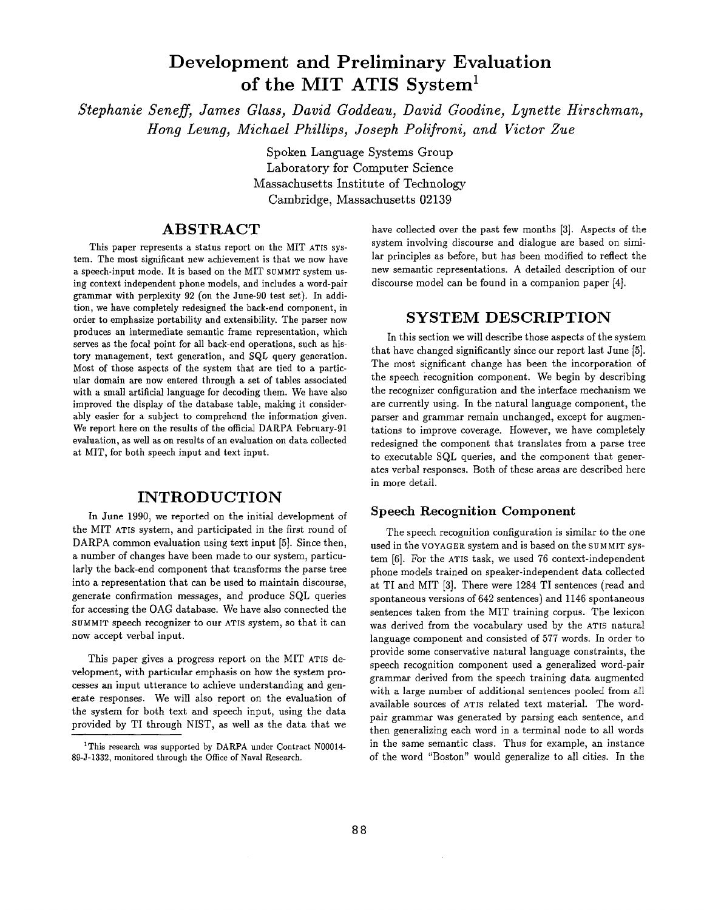# **Development and Preliminary Evaluation**  of the MIT ATIS System<sup>1</sup>

*Stephanie Seneff, James Glass, David Goddeau, David Goodine, Lynette Hirschman, Hong Leung, Michael Phillips, Joseph Polifroni, and Victor Zue* 

> Spoken Language Systems Group Laboratory for Computer Science Massachusetts Institute of Technology Cambridge, Massachusetts 02139

## **ABSTRACT**

This paper represents a status report on the MIT ATIS system. The most significant new achievement is that we now have a speech-input mode. It is based on the MIT SUMMIT system using context independent phone models, and includes a word-pair grammar with perplexity 92 (on the June-90 test set). In addition, we have completely redesigned the back-end component, in order to emphasize portability and extensibility. The parser now produces an intermediate semantic frame representation, which serves as the focal point for all back-end operations, such as history management, text generation, and SQL query generation. Most of those aspects of the system that are tied to a particular domain are now entered through a set of tables associated with a small artificial language for decoding them. We have also improved the display of the database table, making it considerably easier for a subject to comprehend the information given. We report here on the results of the official DARPA February-91 evaluation, as well as on results of an evaluation on data collected at MIT, for both speech input and text input.

## **INTRODUCTION**

In June 1990, we reported on the initial development of the MIT ATIS system, and participated in the first round of DARPA common evaluation using text input [5]. Since then, a number of changes have been made to our system, particularly the back-end component that transforms the parse tree into a representation that can be used to maintain discourse, generate confirmation messages, and produce SQL queries for accessing the OAG database. We have also connected the SUMMIT speech recognizer to our ATIS system, so that it can now accept verbal input.

This paper gives a progress report on the MIT ATIS development, with particular emphasis on how the system processes an input utterance to achieve understanding and generate responses. We will also report on the evaluation of the system for both text and speech input, using the data provided by TI through NIST, as well as the data that we have collected over the past few months [3]. Aspects of the system involving discourse and dialogue are based on similar principles as before, but has been modified to reflect the new semantic representations. A detailed description of our discourse model can be found in a companion paper [4].

#### **SYSTEM DESCRIPTION**

In this section we will describe those aspects of the system that have changed significantly since our report last June [5]. The most significant change has been the incorporation of the speech recognition component. We begin by describing the recognizer configuration and the interface mechanism we are currently using. In the natural language component, the parser and grammar remain unchanged, except for augmentations to improve coverage. However, we have completely redesigned the component that translates from a parse tree to executable SQL queries, and the component that generates verbal responses. Both of these areas are described here in more detail.

#### Speech Recognition Component

The speech recognition configuration is similar to the one used in the VOYAGER system and is based on the SUMMIT system [6]. For the ATIS task, we used 76 context-independent phone models trained on speaker-independent data collected at TI and MIT [3]. There were 1284 TI sentences (read and spontaneous versions of 642 sentences) and 1146 spontaneous sentences taken from the MIT training corpus. The lexicon was derived from the vocabulary used by the ATIS natural language component and consisted of 577 words. In order to provide some conservative natural language constraints, the speech recognition component used a generalized word-pair grammar derived from the speech training data augmented with a large number of additional sentences pooled from all available sources of nTIS related text material. The wordpair grammar was generated by parsing each sentence, and then generalizing each word in a terminal node to all words in the same semantic class. Thus for example, an instance of the word "Boston" would generalize to all cities. In the

<sup>&</sup>lt;sup>1</sup>This research was supported by DARPA under Contract N00014-89-J-1332, monitored through the Office of Naval Research.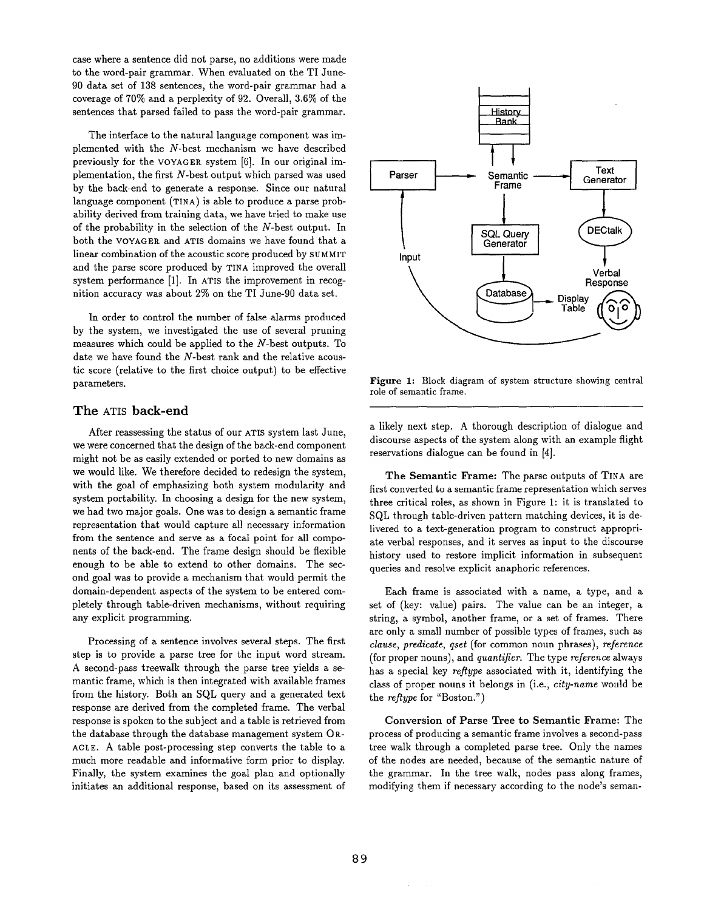case where a sentence did not parse, no additions were made to the word-pair grammar. When evaluated on the TI June-90 data set of 138 sentences, the word-pair grammar had a coverage of 70% and a perplexity of 92. Overall, 3.6% of the sentences that parsed failed to pass the word-pair grammar.

The interface to the natural language component was implemented with the N-best mechanism we have described previously for the VOYACER. system [6]. In our original implementation, the first N-best output which parsed was used by the back-end to generate a response. Since our natural language component (TINA) is able to produce a parse probability derived from training data, we have tried to make use of the probability in the selection of the N-best output. In both the VOYAGER. and ATIS domains we have found that a linear combination of the acoustic score produced by SUMMIT and the parse score produced by TINA improved the overall system performance [1]. In ATIS the improvement in recognition accuracy was about 2% on the TI June-90 data set.

In order to control the number of false alarms produced by the system, we investigated the use of several pruning measures which could be applied to the N-best outputs. To date we have found the N-best rank and the relative acoustic score (relative to the first choice output) to be effective parameters.

#### The ATIS back-end

After reassessing the status of our ATIS system last June, we were concerned that the design of the back-end component might not be as easily extended or ported to new domains as we would like. We therefore decided to redesign the system, with the goal of emphasizing both system modularity and system portability. In choosing a design for the new system, we had two major goals. One was to design a semantic frame representation that would capture all necessary information from the sentence and serve as a focal point for all components of the back-end. The frame design should be flexible enough to be able to extend to other domains. The second goal was to provide a mechanism that would permit the domain-dependent aspects of the system to be entered completely through table-driven mechanisms, without requiring any explicit programming.

Processing of a sentence involves several steps. The first step is to provide a parse tree for the input word stream. A second-pass treewalk through the parse tree yields a semantic frame, which is then integrated with available frames from the history. Both an SQL query and a generated text response are derived from the completed frame. The verbal response is spoken to the subject and a table is retrieved from the database through the database management system OR-ACLE. A table post-processing step converts the table to a much more readable and informative form prior to display. Finally, the system examines the goal plan and optionally initiates an additional response, based on its assessment of



Figure 1: Block diagram of system structure showing central role of semantic frame.

a likely next step. A thorough description of dialogue and discourse aspects of the system along with an example flight reservations dialogue can be found in [4].

The Semantic Frame: The parse outputs of TINA are first converted to a semantic frame representation which serves three critical roles, as shown in Figure 1: it is translated to SQL through table-driven pattern matching devices, it is delivered to a text-generation program to construct appropriate verbal responses, and it serves as input to the discourse history used to restore implicit information in subsequent queries and resolve explicit anaphoric references.

Each frame is associated with a name, a type, and a set of (key: value) pairs. The value can be an integer, a string, a symbol, another frame, or a set of frames. There are only a small number of possible types of frames, such as *clause, predicate, qset* (for common noun phrases), *reference*  (for proper nouns), and *quantifier.* The type *reference* always has a special key *reflype* associated with it, identifying the class of proper nouns it belongs in (i.e., *city-name* would be the *reflype* for "Boston.")

Conversion of Parse Tree to Semantic Frame: The process of producing a semantic frame involves a second-pass tree walk through a completed parse tree. Only the names of the nodes are needed, because of the semantic nature of the grammar. In the tree walk, nodes pass along frames, modifying them if necessary according to the node's seman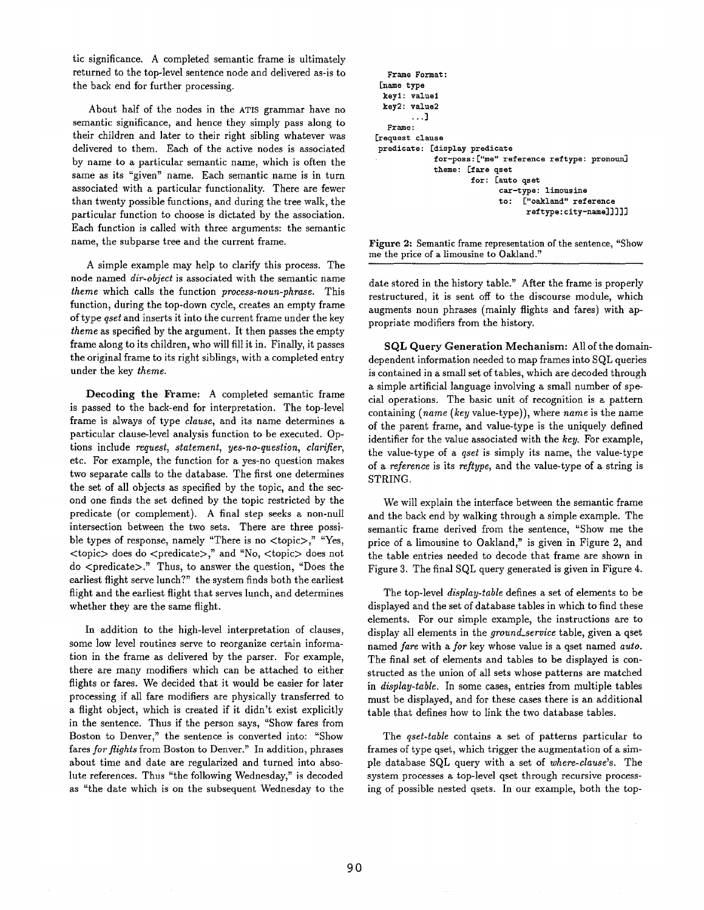tic significance. A completed semantic frame is ultimately returned to the top-level sentence node and delivered as-is to the back end for further processing.

About half of the nodes in the ATIS grammar have no semantic significance, and hence they simply pass along to their children and later to their right sibling whatever was delivered to them. Each of the active nodes is associated by name to a particular semantic name, which is often the same as its "given" name. Each semantic name is in turn associated with a particular functionality. There are fewer than twenty possible functions, and during the tree walk, the particular function to choose is dictated by the association. Each function is called with three arguments: the semantic name, the subparse tree and the current frame.

A simple example may help to clarify this process. The node named *dir-object* is associated with the semantic name *theme* which calls the function *process-noun-phrase.* This function, during the top-down cycle, creates an empty frame of type *qset* and inserts it into the current frame under the key *theme as* specified by the argument. It then passes the empty frame along to its children, who will fill it in. Finally, it passes the original frame to its right siblings, with a completed entry under the key *theme.* 

Decoding the Frame: A completed semantic frame is passed to the back-end for interpretation. The top-level frame is always of type *clause,* and its name determines a particular clause-level analysis function to be executed. Options include *request, statement, yes-no-question, clarifier,*  etc. For example, the function for a yes-no question makes two separate calls to the database. The first one determines the set of all objects as specified by the topic, and the second one finds the set defined by the topic restricted by the predicate (or complement). A final step seeks a non-null intersection between the two sets. There are three possible types of response, namely "There is no <topic>," "Yes, <topic> does do <predicate>," and "No, <topic> does not do <predicate>." Thus, to answer the question, "Does the earliest flight serve lunch?" the system finds both the earliest flight and the earliest flight that serves lunch, and determines whether they are the same flight.

In addition to the high-level interpretation of clauses, some low level routines serve to reorganize certain information in the frame as delivered by the parser. For example, there are many modifiers which can be attached to either flights or fares. We decided that it would be easier for later processing if all fare modifiers are physically transferred to a flight object, which is created if it didn't exist explicitly in the sentence. Thus if the person says, "Show fares from Boston to Denver," the sentence is converted into: "Show fares *for flights* from Boston to Denver." In addition, phrases about time and date are regularized and turned into absolute references. Thus "the following Wednesday," is decoded as "the date which is on the subsequent Wednesday to the

```
Frame Format : 
 [name type 
 keyl: valuel 
 key2 : value2 
        ...] 
  Frame : 
[request clause 
predicate: [display predicate 
              for-poss : ["me" reference reftype: pronoun] 
              theme: [fare qset 
                       for: [auto qset 
                              car-type: limousine 
                              I;o: ["oakland" reference 
                                    reftype: city-name] ] ] ] ]
```
Figure 2: Semantic frame representation of the sentence, "Show me the price of a limousine to Oakland."

date stored in the history table." After the frame is properly restructured, it is sent off to the discourse module, which augments noun phrases (mainly flights and fares) with appropriate modifiers from the history.

**SQL** Query Generation Mechanism: All of the domaindependent information needed to map frames into SQL queries is contained in a small set of tables, which are decoded through a simple artificial language involving a small number of special operations. The basic unit of recognition is a pattern containing *(name (key* value-type)), where *name* is the name of the parent frame, and value-type is the uniquely defined identifier for the value associated with the *key.* For example, the value-type of a *qset* is simply its name, the value-type of a *reference* is its *reflype,* and the value-type of a string is STRING.

We will explain the interface between the semantic frame and the back end by walking through a simple example. The semantic frame derived from the sentence, "Show me the price of a limousine to Oakland," is given in Figure 2, and the table entries needed to decode that frame are shown in Figure 3. The final SQL query generated is given in Figure 4.

The top-level *display-table* defines a set of elements to be displayed and the set of database tables in which to find these elements. For our simple example, the instructions are to display all elements in the *ground\_service* table, given a qset named *fare* with a *for* key whose value is a qset named *auto.*  The final set of elements and tables to be displayed is constructed as the union of all sets whose patterns are matched in *display-table.* In some cases, entries from multiple tables must be displayed, and for these cases there is an additional table that defines how to link the two database tables.

The *qset-table* contains a set of patterns particular to frames of type qset, which trigger the augmentation of a simple database SQL query with a set of *where-clause's.* The system processes a top-level qset through recursive processing of possible nested qsets. In our example, both the top-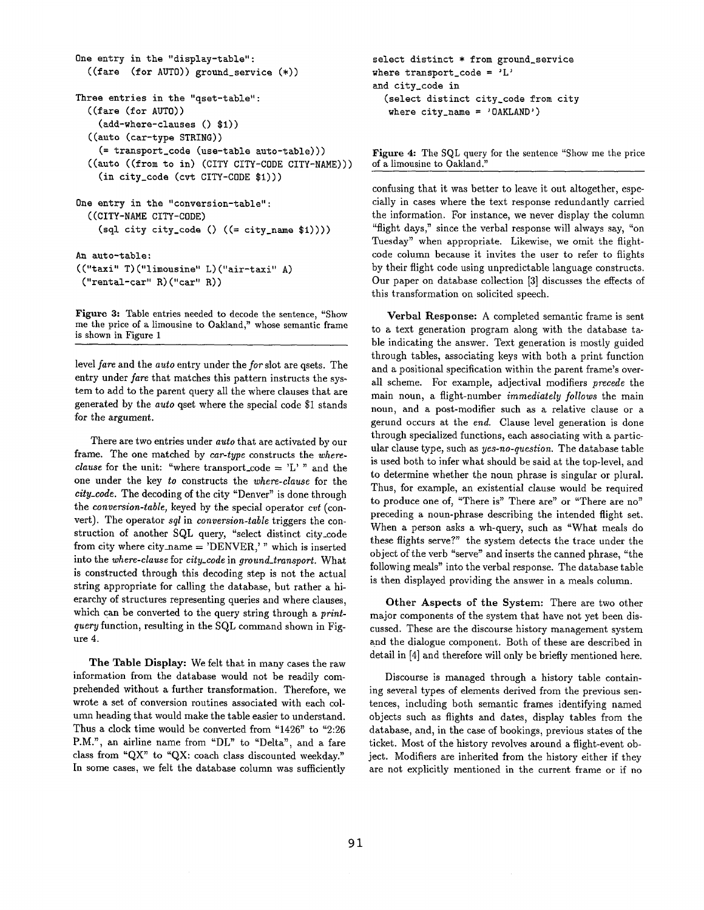```
One entry in the "display-table": 
  ((fare (for AUTO)) ground_service (*)) 
Three entries in the "qset-table": 
  ((fare (for AUTO)) 
    (add-where-clauses() $1))((auto (car-type STRING)) 
    (= transport_code (use-table auto-table))) 
  ((auto ((from to in) (CITY CITY-CODE CITY-NAME))) 
    (in city_code (cvt CITY-CODE $i))) 
One entry in the "conversion-table": 
  ((CITY-NAME CITY-CODE) 
    (sql city city_code () ((= city_name $1))))An auto-table : 
(("taxi" T) ("limousine" L)("air-taxi" A) 
("rental-car" R) ("car" R))
```
Figure 3: Table entries needed to decode the sentence, "Show me the price of a limousine to Oakland," whose semantic frame is shown in Figure 1

level *fare* and the *auto* entry under the *for* slot are qsets. The entry under *fare* that matches this pattern instructs the system to add to the parent query all the where clauses that are generated by the *auto* qset where the special code \$1 stands for the argument.

There are two entries under *auto* that are activated by our frame. The one matched by *car-type* constructs the *whereclause* for the unit: "where transport\_code =  $L'$ " and the one under the key *to* constructs the *where-clause* for the *city\_code.* The decoding of the city "Denver" is done through the *conversion-table,* keyed by the special operator *cvt* (convert). The operator *sql* in *conversion-table* triggers the construction of another SQL query, "select distinct city\_code from city where city\_name = 'DENVER,' " which is inserted into the *where-clause* for *city\_code* in *ground\_transport.* What is constructed through this decoding step is not the actual string appropriate for calling the database, but rather a hierarchy of structures representing queries and where clauses, which can be converted to the query string through a *printquery* function, resulting in the SQL command shown in Figure 4.

The Table Display: We felt that in many cases the raw information from the database would not be readily comprehended without a further transformation. Therefore, we wrote a set of conversion routines associated with each column heading that would make the table easier to understand. Thus a clock time would be converted from "1426" to "2:26 P.M.", an airline name from "DL" to "Delta", and a fare class from "QX" to "QX: coach class discounted weekday." In some cases, we felt the database column was sufficiently

```
select distinct * from ground_service 
where transport_code = 'L'and city_code in 
  (select distinct city_code from city 
   where city_name = 'OAKLAND')
```
Figure 4: The SQL query for the sentence "Show me the price of a limousine to Oakland."

confusing that it was better to leave it out altogether, especially in cases where the text response redundantly carried the information. For instance, we never display the column "flight days," since the verbal response will always say, "on Tuesday" when appropriate. Likewise, we omit the flightcode column because it invites the user to refer to flights by their flight code using unpredictable language constructs. Our paper on database collection [3] discusses the effects of this transformation on solicited speech.

Verbal Response: A completed semantic frame is sent to a text generation program along with the database table indicating the answer. Text generation is mostly guided through tables, associating keys with both a print function and a positional specification within the parent frame's overall scheme. For example, adjectival modifiers *precede* the main noun, a flight-number *immediately follows* the main noun, and a post-modifier such as a relative clause or a gerund occurs at the *end.* Clause level generation is done through specialized functions, each associating with a particular clause type, such as *yes-no-question.* The database table is used both to infer what should be said at the top-level, and to determine whether the noun phrase is singular or plural. Thus, for example, an existential clause would be required to produce one of, "There is" There are" or "There are no" preceding a noun-phrase describing the intended flight set. When a person asks a wh-query, such as "What meals do these flights serve?" the system detects the trace under the object of the verb "serve" and inserts the canned phrase, "the following meals" into the verbal response. The database table is then displayed providing the answer in a meals column.

Other Aspects of the System: There are two other major components of the system that have not yet been discussed. These are the discourse history management system and the dialogue component. Both of these are described in detail in [4] and therefore will only be briefly mentioned here.

Discourse is managed through a history table containing several types of elements derived from the previous sentences, including both semantic frames identifying named objects such as flights and dates, display tables from the database, and, in the case of bookings, previous states of the ticket. Most of the history revolves around a flight-event object. Modifiers are inherited from the history either if they are not explicitly mentioned in the current frame or if no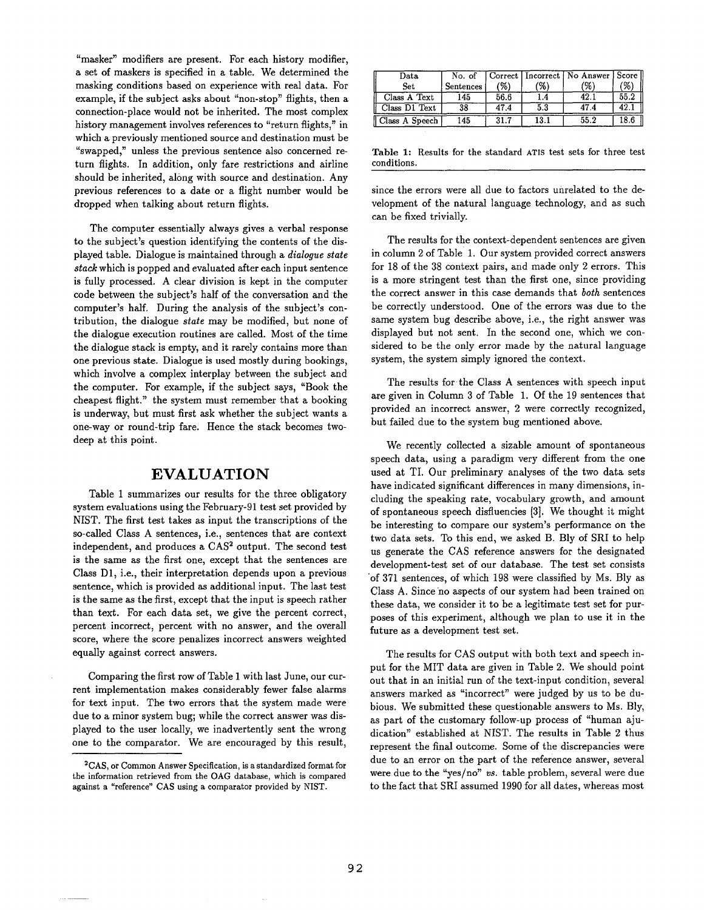"masker" modifiers are present. For each history modifier, a set of maskers is specified in a table. We determined the masking conditions based on experience with real data. For example, if the subject asks about "non-stop" flights, then a connection-place would not be inherited. The most complex history management involves references to "return flights," in which a previously mentioned source and destination must be "swapped," unless the previous sentence also concerned return flights. In addition, only fare restrictions and airline should be inherited, along with source and destination. Any previous references to a date or a flight number would be dropped when talking about return flights.

The computer essentially always gives a verbal response to the subject's question identifying the contents of the displayed table. Dialogue is maintained through a *dialogue state stack* which is popped and evaluated after each input sentence is fully processed. A clear division is kept in the computer code between the subject's half of the conversation and the computer's half. During the analysis of the subject's contribution, the dialogue *state* may be modified, but none of the dialogue execution routines are called. Most of the time the dialogue stack is empty, and it rarely contains more than one previous state. Dialogue is used mostly during bookings, which involve a complex interplay between the subject and the computer. For example, if the subject says, "Book the cheapest flight." the system must remember that a booking is underway, but must first ask whether the subject wants a one-way or round-trip fare. Hence the stack becomes twodeep at this point.

### **EVALUATION**

Table 1 summarizes our results for the three obligatory system evaluations using the February-91 test set provided by NIST. The first test takes as input the transcriptions of the so-called Class A sentences, i.e., sentences that are context independent, and produces a  $CAS<sup>2</sup>$  output. The second test is the same as the first one, except that the sentences are Class D1, i.e., their interpretation depends upon a previous sentence, which is provided as additional input. The last test is the same as the first, except that the input is speech rather than text. For each data set, we give the percent correct, percent incorrect, percent with no answer, and the overall score, where the score penalizes incorrect answers weighted equally against correct answers.

Comparing the first row of Table 1 with last June, our current implementation makes considerably fewer false alarms for text input. The two errors that the system made were due to a minor system bug; while the correct answer was displayed to the user locally, we inadvertently sent the wrong one to the comparator. We are encouraged by this result,

| $_{\rm Data}$  | No. of    |      |     | Correct   Incorrect   No Answer   Score |      |
|----------------|-----------|------|-----|-----------------------------------------|------|
| Set            | Sentences | (%)  | '%` | V.                                      | %    |
| Class A Text   | 145       | 56.6 |     |                                         | 55.2 |
| Class D1 Text  | 38        | 47.4 | 5.3 | 47.4                                    | 42.  |
| Class A Speech | 145       | 31.7 |     | 55.2                                    | 18.6 |

Table 1: Results for the standard ATIS test sets for three test conditions.

since the errors were all due to factors unrelated to the development of the natural language technology, and as such can be fixed trivially.

The results for the context-dependent sentences are given in column 2 of Table 1. Our system provided correct answers for 18 of the 38 context pairs, and made only 2 errors. This is a more stringent test than the first one, since providing the correct answer in this case demands that *both* sentences be correctly understood. One of the errors was due to the same system bug describe above, i.e., the right answer was displayed but not sent. In the second one, which we considered to he the only error made by the natural language system, the system simply ignored the context.

The results for the Class A sentences with speech input are given in Column 3 of Table 1. Of the 19 sentences that provided an incorrect answer, 2 were correctly recognized, but failed due to the system bug mentioned above.

We recently collected a sizable amount of spontaneous speech data, using a paradigm very different from the one used at TI. Our preliminary analyses of the two data sets have indicated significant differences in many dimensions, including the speaking rate, vocabulary growth, and amount of spontaneous speech disfluencies [3]. We thought it might be interesting to compare our system's performance on the two data sets. To this end, we asked B. Bly of SRI to help us generate the CAS reference answers for the designated development-test set of our database. The test set consists 'of 371 sentences, of which 198 were classified by Ms. Bly as Class A. Since'no aspects of our system had been trained on these data, we consider it to be a legitimate test set for purposes of this experiment, although we plan to use it in the future as a development test set.

The results for CAS output with both text and speech input for the MIT data are given in Table 2. We should point out that in an initial run of the text-input condition, several answers marked as "incorrect" were judged by us to be dubious. We submitted these questionable answers to Ms. Bly, as part of the customary follow-up process of "human ajudication" established at NIST. The results in Table 2 thus represent the final outcome. Some of the discrepancies were due to an error on the part of the reference answer, several were due to the "yes/no" *vs.* table problem, several were due to the fact that SRI assumed 1990 for all dates, whereas most

<sup>2</sup>CAS, or Common Answer Specification, is a standardized format for the information retrieved from the OAG database, which is compared against a "reference" CAS using a comparator provided by NIST.